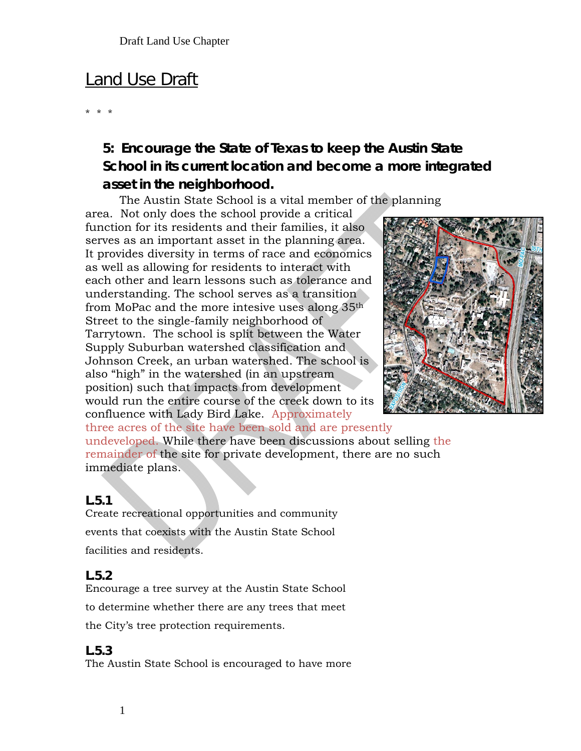# **Land Use Draft**

\* \* \*

# **5: Encourage the State of Texas to keep the Austin State School in its current location and become a more integrated asset in the neighborhood.**

The Austin State School is a vital member of the planning

area. Not only does the school provide a critical function for its residents and their families, it also serves as an important asset in the planning area. It provides diversity in terms of race and economics as well as allowing for residents to interact with each other and learn lessons such as tolerance and understanding. The school serves as a transition from MoPac and the more intesive uses along 35th Street to the single-family neighborhood of Tarrytown. The school is split between the Water Supply Suburban watershed classification and Johnson Creek, an urban watershed. The school is also "high" in the watershed (in an upstream position) such that impacts from development would run the entire course of the creek down to its confluence with Lady Bird Lake. Approximately



three acres of the site have been sold and are presently undeveloped. While there have been discussions about selling the remainder of the site for private development, there are no such immediate plans.

#### **L.5.1**

Create recreational opportunities and community events that coexists with the Austin State School facilities and residents.

### **L.5.2**

Encourage a tree survey at the Austin State School to determine whether there are any trees that meet the City's tree protection requirements.

#### **L.5.3**

The Austin State School is encouraged to have more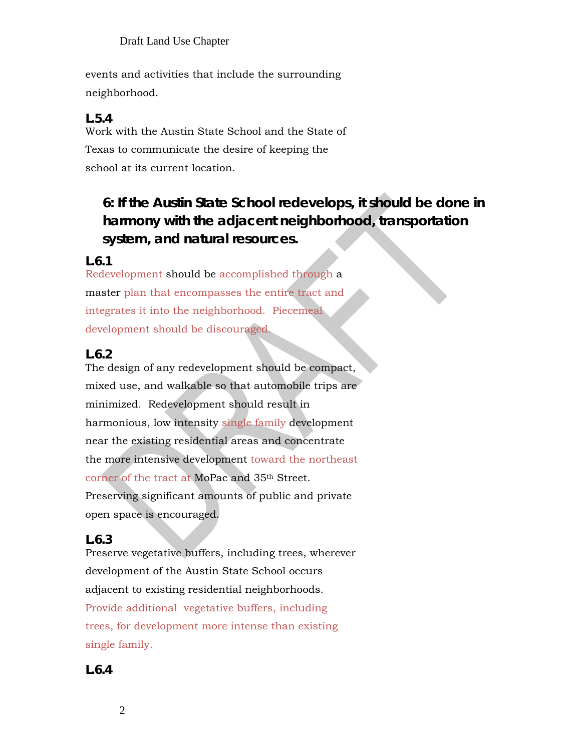events and activities that include the surrounding neighborhood.

#### **L.5.4**

Work with the Austin State School and the State of Texas to communicate the desire of keeping the school at its current location.

# **6: If the Austin State School redevelops, it should be done in harmony with the adjacent neighborhood, transportation system, and natural resources.**

### **L.6.1**

Redevelopment should be accomplished through a master plan that encompasses the entire tract and integrates it into the neighborhood. Piecemeal development should be discouraged.

### **L.6.2**

The design of any redevelopment should be compact, mixed use, and walkable so that automobile trips are minimized. Redevelopment should result in harmonious, low intensity single family development near the existing residential areas and concentrate the more intensive development toward the northeast corner of the tract at MoPac and 35th Street. Preserving significant amounts of public and private open space is encouraged.

### **L.6.3**

Preserve vegetative buffers, including trees, wherever development of the Austin State School occurs adjacent to existing residential neighborhoods. Provide additional vegetative buffers, including trees, for development more intense than existing single family.

### **L.6.4**

2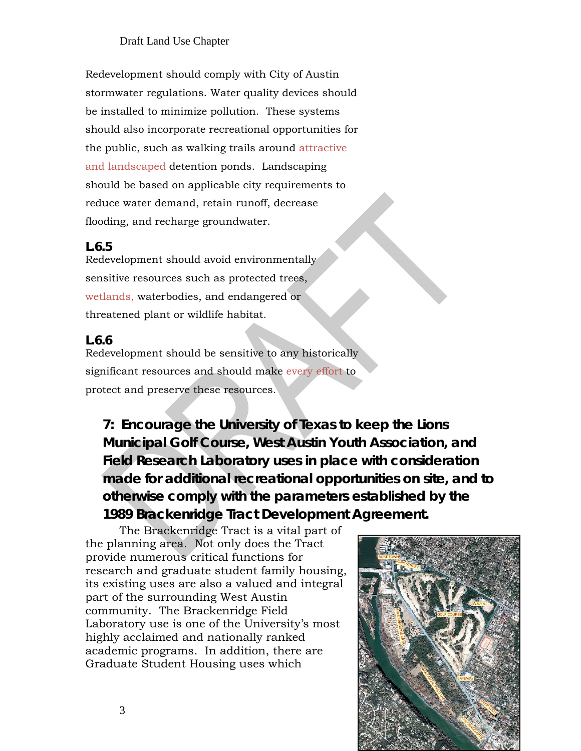Redevelopment should comply with City of Austin stormwater regulations. Water quality devices should be installed to minimize pollution. These systems should also incorporate recreational opportunities for the public, such as walking trails around attractive and landscaped detention ponds. Landscaping should be based on applicable city requirements to reduce water demand, retain runoff, decrease flooding, and recharge groundwater.

#### **L.6.5**

Redevelopment should avoid environmentally sensitive resources such as protected trees, wetlands, waterbodies, and endangered or threatened plant or wildlife habitat.

#### **L.6.6**

Redevelopment should be sensitive to any historically significant resources and should make every effort to protect and preserve these resources.

**7: Encourage the University of Texas to keep the Lions Municipal Golf Course, West Austin Youth Association, and Field Research Laboratory uses in place with consideration made for additional recreational opportunities on site, and to otherwise comply with the parameters established by the 1989 Brackenridge Tract Development Agreement.** 

The Brackenridge Tract is a vital part of the planning area. Not only does the Tract provide numerous critical functions for research and graduate student family housing, its existing uses are also a valued and integral part of the surrounding West Austin community. The Brackenridge Field Laboratory use is one of the University's most highly acclaimed and nationally ranked academic programs. In addition, there are Graduate Student Housing uses which

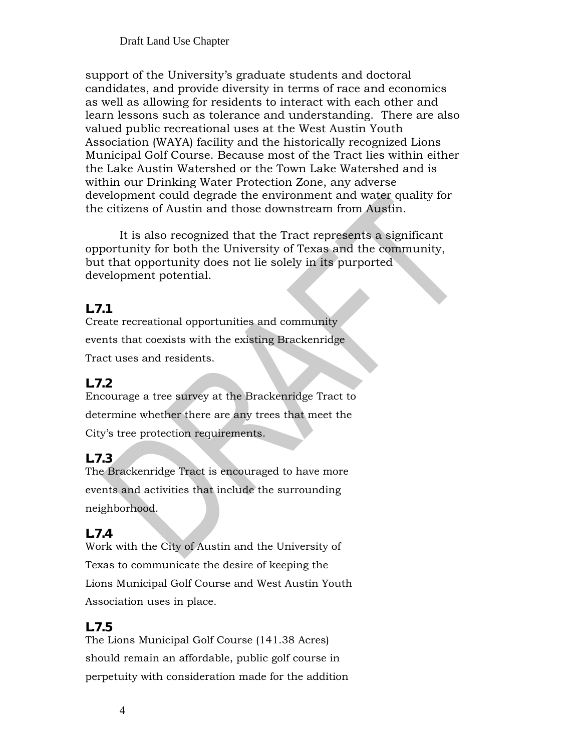support of the University's graduate students and doctoral candidates, and provide diversity in terms of race and economics as well as allowing for residents to interact with each other and learn lessons such as tolerance and understanding. There are also valued public recreational uses at the West Austin Youth Association (WAYA) facility and the historically recognized Lions Municipal Golf Course. Because most of the Tract lies within either the Lake Austin Watershed or the Town Lake Watershed and is within our Drinking Water Protection Zone, any adverse development could degrade the environment and water quality for the citizens of Austin and those downstream from Austin.

It is also recognized that the Tract represents a significant opportunity for both the University of Texas and the community, but that opportunity does not lie solely in its purported development potential.

### **L.7.1**

Create recreational opportunities and community events that coexists with the existing Brackenridge Tract uses and residents.

# **L.7.2**

Encourage a tree survey at the Brackenridge Tract to determine whether there are any trees that meet the City's tree protection requirements.

# **L.7.3**

The Brackenridge Tract is encouraged to have more events and activities that include the surrounding neighborhood.

# **L.7.4**

Work with the City of Austin and the University of Texas to communicate the desire of keeping the Lions Municipal Golf Course and West Austin Youth Association uses in place.

### **L.7.5**

The Lions Municipal Golf Course (141.38 Acres) should remain an affordable, public golf course in perpetuity with consideration made for the addition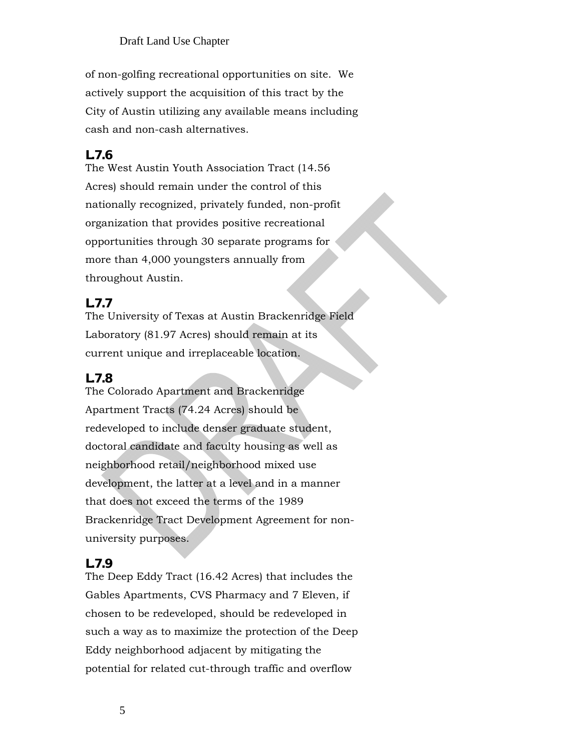of non-golfing recreational opportunities on site. We actively support the acquisition of this tract by the City of Austin utilizing any available means including cash and non-cash alternatives.

#### **L.7.6**

The West Austin Youth Association Tract (14.56 Acres) should remain under the control of this nationally recognized, privately funded, non-profit organization that provides positive recreational opportunities through 30 separate programs for more than 4,000 youngsters annually from throughout Austin.

#### **L.7.7**

The University of Texas at Austin Brackenridge Field Laboratory (81.97 Acres) should remain at its current unique and irreplaceable location.

#### **L.7.8**

The Colorado Apartment and Brackenridge Apartment Tracts (74.24 Acres) should be redeveloped to include denser graduate student, doctoral candidate and faculty housing as well as neighborhood retail/neighborhood mixed use development, the latter at a level and in a manner that does not exceed the terms of the 1989 Brackenridge Tract Development Agreement for nonuniversity purposes.

### **L.7.9**

The Deep Eddy Tract (16.42 Acres) that includes the Gables Apartments, CVS Pharmacy and 7 Eleven, if chosen to be redeveloped, should be redeveloped in such a way as to maximize the protection of the Deep Eddy neighborhood adjacent by mitigating the potential for related cut-through traffic and overflow

5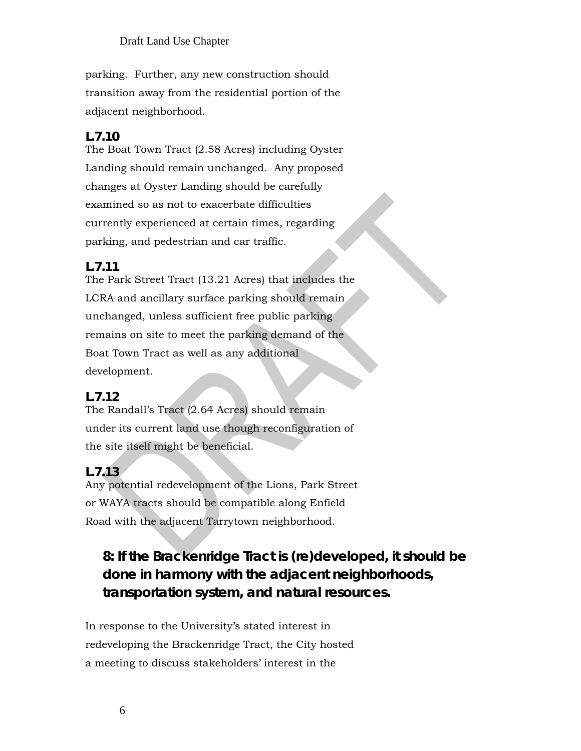parking. Further, any new construction should transition away from the residential portion of the adjacent neighborhood.

# **L.7.10**

The Boat Town Tract (2.58 Acres) including Oyster Landing should remain unchanged. Any proposed changes at Oyster Landing should be carefully examined so as not to exacerbate difficulties currently experienced at certain times, regarding parking, and pedestrian and car traffic.

# **L.7.11**

The Park Street Tract (13.21 Acres) that includes the LCRA and ancillary surface parking should remain unchanged, unless sufficient free public parking remains on site to meet the parking demand of the Boat Town Tract as well as any additional development.

# **L.7.12**

The Randall's Tract (2.64 Acres) should remain under its current land use though reconfiguration of the site itself might be beneficial.

# **L.7.13**

Any potential redevelopment of the Lions, Park Street or WAYA tracts should be compatible along Enfield Road with the adjacent Tarrytown neighborhood.

# **8: If the Brackenridge Tract is (re)developed, it should be done in harmony with the adjacent neighborhoods, transportation system, and natural resources.**

In response to the University's stated interest in redeveloping the Brackenridge Tract, the City hosted a meeting to discuss stakeholders' interest in the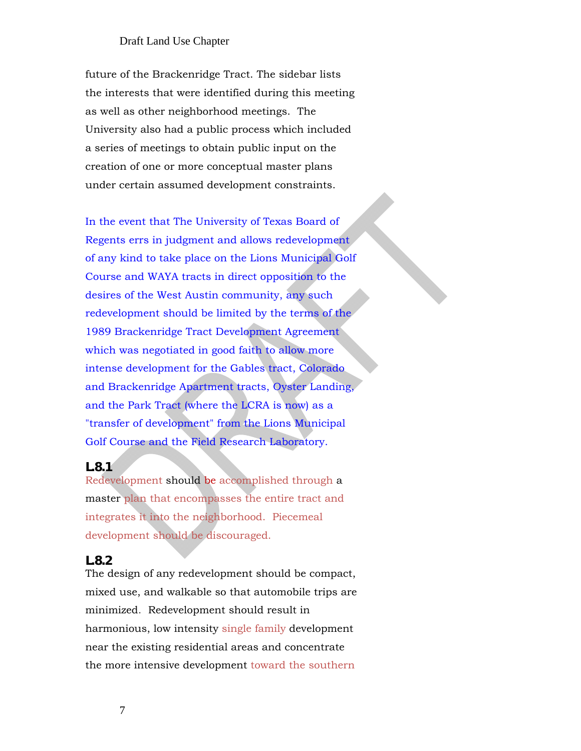future of the Brackenridge Tract. The sidebar lists the interests that were identified during this meeting as well as other neighborhood meetings. The University also had a public process which included a series of meetings to obtain public input on the creation of one or more conceptual master plans under certain assumed development constraints.

In the event that The University of Texas Board of Regents errs in judgment and allows redevelopment of any kind to take place on the Lions Municipal Golf Course and WAYA tracts in direct opposition to the desires of the West Austin community, any such redevelopment should be limited by the terms of the 1989 Brackenridge Tract Development Agreement which was negotiated in good faith to allow more intense development for the Gables tract, Colorado and Brackenridge Apartment tracts, Oyster Landing, and the Park Tract (where the LCRA is now) as a "transfer of development" from the Lions Municipal Golf Course and the Field Research Laboratory.

#### **L.8.1**

Redevelopment should be accomplished through a master plan that encompasses the entire tract and integrates it into the neighborhood. Piecemeal development should be discouraged.

#### **L.8.2**

The design of any redevelopment should be compact, mixed use, and walkable so that automobile trips are minimized. Redevelopment should result in harmonious, low intensity single family development near the existing residential areas and concentrate the more intensive development toward the southern

7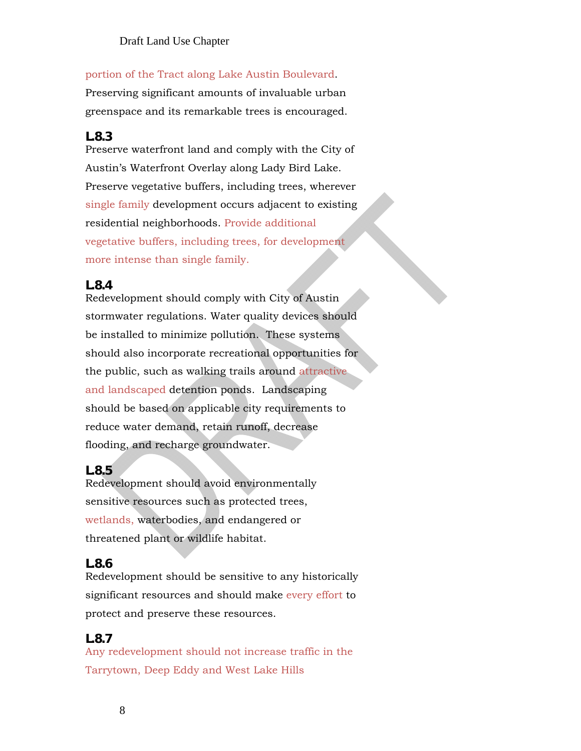#### portion of the Tract along Lake Austin Boulevard.

Preserving significant amounts of invaluable urban greenspace and its remarkable trees is encouraged.

### **L.8.3**

Preserve waterfront land and comply with the City of Austin's Waterfront Overlay along Lady Bird Lake. Preserve vegetative buffers, including trees, wherever single family development occurs adjacent to existing residential neighborhoods. Provide additional vegetative buffers, including trees, for development more intense than single family.

### **L.8.4**

Redevelopment should comply with City of Austin stormwater regulations. Water quality devices should be installed to minimize pollution. These systems should also incorporate recreational opportunities for the public, such as walking trails around attractive and landscaped detention ponds. Landscaping should be based on applicable city requirements to reduce water demand, retain runoff, decrease flooding, and recharge groundwater.

# **L.8.5**

Redevelopment should avoid environmentally sensitive resources such as protected trees, wetlands, waterbodies, and endangered or threatened plant or wildlife habitat.

# **L.8.6**

Redevelopment should be sensitive to any historically significant resources and should make every effort to protect and preserve these resources.

# **L.8.7**

Any redevelopment should not increase traffic in the Tarrytown, Deep Eddy and West Lake Hills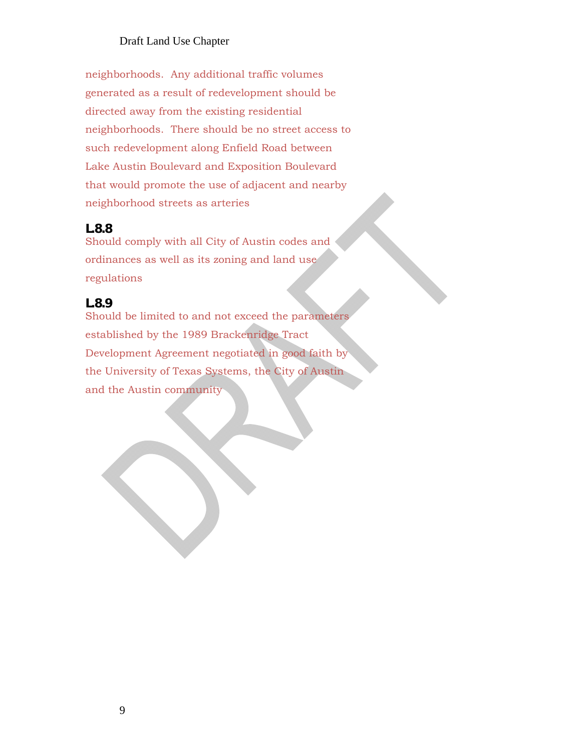neighborhoods. Any additional traffic volumes generated as a result of redevelopment should be directed away from the existing residential neighborhoods. There should be no street access to such redevelopment along Enfield Road between Lake Austin Boulevard and Exposition Boulevard that would promote the use of adjacent and nearby neighborhood streets as arteries

#### **L.8.8**

Should comply with all City of Austin codes and ordinances as well as its zoning and land use regulations

#### **L.8.9**

Should be limited to and not exceed the parameters established by the 1989 Brackenridge Tract Development Agreement negotiated in good faith by the University of Texas Systems, the City of Austin and the Austin community